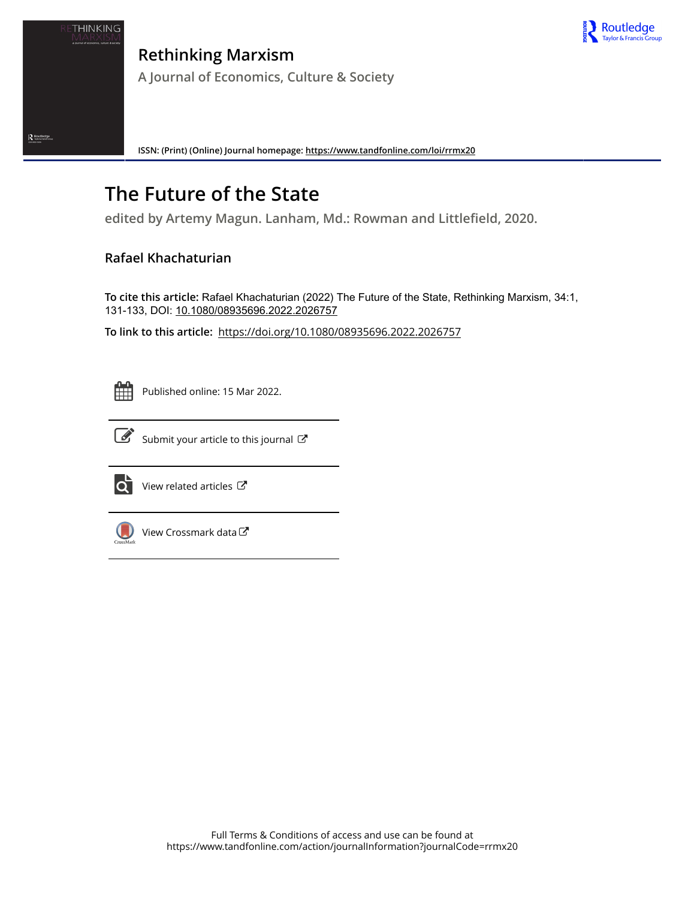

Routledge

**Rethinking Marxism A Journal of Economics, Culture & Society**

**ISSN: (Print) (Online) Journal homepage:<https://www.tandfonline.com/loi/rrmx20>**

## **The Future of the State**

**edited by Artemy Magun. Lanham, Md.: Rowman and Littlefield, 2020.**

## **Rafael Khachaturian**

**To cite this article:** Rafael Khachaturian (2022) The Future of the State, Rethinking Marxism, 34:1, 131-133, DOI: [10.1080/08935696.2022.2026757](https://www.tandfonline.com/action/showCitFormats?doi=10.1080/08935696.2022.2026757)

**To link to this article:** <https://doi.org/10.1080/08935696.2022.2026757>



Published online: 15 Mar 2022.



 $\overrightarrow{S}$  [Submit your article to this journal](https://www.tandfonline.com/action/authorSubmission?journalCode=rrmx20&show=instructions)  $\overrightarrow{S}$ 



 $\overrightarrow{Q}$  [View related articles](https://www.tandfonline.com/doi/mlt/10.1080/08935696.2022.2026757)  $\overrightarrow{C}$ 



[View Crossmark data](http://crossmark.crossref.org/dialog/?doi=10.1080/08935696.2022.2026757&domain=pdf&date_stamp=2022-03-15)  $\mathbb{Z}$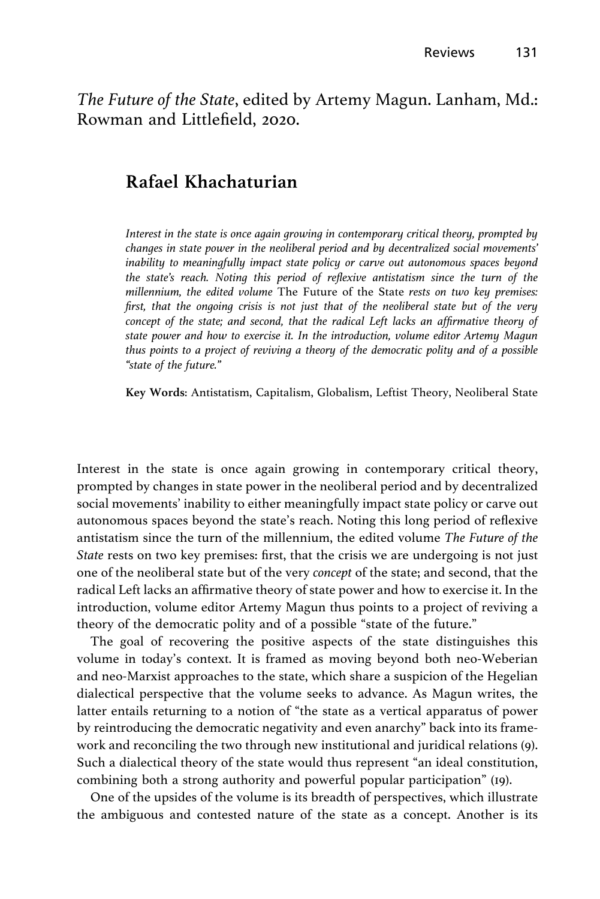The Future of the State, edited by Artemy Magun. Lanham, Md.: Rowman and Littlefield, 2020.

## Rafael Khachaturian

Interest in the state is once again growing in contemporary critical theory, prompted by changes in state power in the neoliberal period and by decentralized social movements' inability to meaningfully impact state policy or carve out autonomous spaces beyond the state's reach. Noting this period of reflexive antistatism since the turn of the millennium, the edited volume The Future of the State rests on two key premises: first, that the ongoing crisis is not just that of the neoliberal state but of the very concept of the state; and second, that the radical Left lacks an affirmative theory of state power and how to exercise it. In the introduction, volume editor Artemy Magun thus points to a project of reviving a theory of the democratic polity and of a possible "state of the future."

Key Words: Antistatism, Capitalism, Globalism, Leftist Theory, Neoliberal State

Interest in the state is once again growing in contemporary critical theory, prompted by changes in state power in the neoliberal period and by decentralized social movements' inability to either meaningfully impact state policy or carve out autonomous spaces beyond the state's reach. Noting this long period of reflexive antistatism since the turn of the millennium, the edited volume The Future of the State rests on two key premises: first, that the crisis we are undergoing is not just one of the neoliberal state but of the very concept of the state; and second, that the radical Left lacks an affirmative theory of state power and how to exercise it. In the introduction, volume editor Artemy Magun thus points to a project of reviving a theory of the democratic polity and of a possible "state of the future."

The goal of recovering the positive aspects of the state distinguishes this volume in today's context. It is framed as moving beyond both neo-Weberian and neo-Marxist approaches to the state, which share a suspicion of the Hegelian dialectical perspective that the volume seeks to advance. As Magun writes, the latter entails returning to a notion of "the state as a vertical apparatus of power by reintroducing the democratic negativity and even anarchy" back into its framework and reconciling the two through new institutional and juridical relations (9). Such a dialectical theory of the state would thus represent "an ideal constitution, combining both a strong authority and powerful popular participation" (19).

One of the upsides of the volume is its breadth of perspectives, which illustrate the ambiguous and contested nature of the state as a concept. Another is its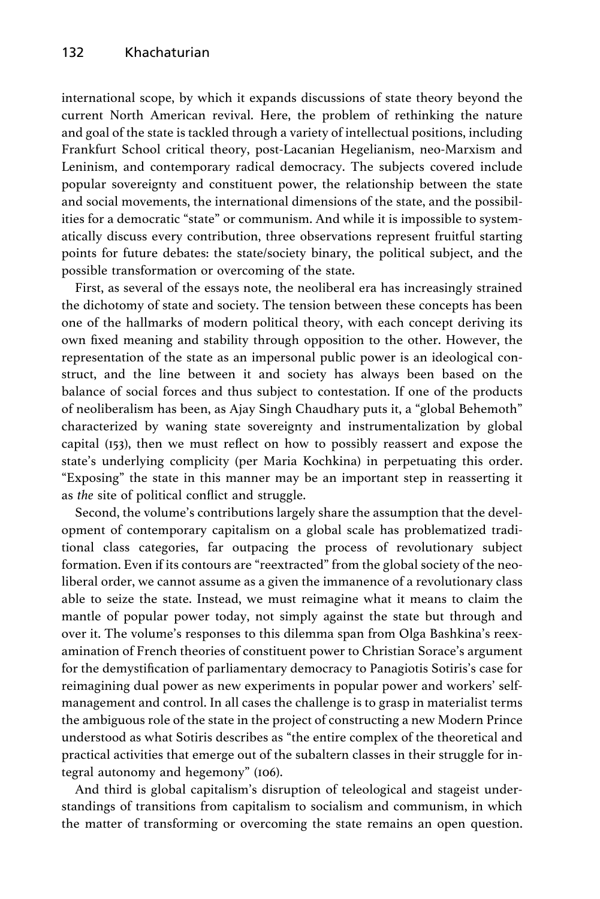international scope, by which it expands discussions of state theory beyond the current North American revival. Here, the problem of rethinking the nature and goal of the state is tackled through a variety of intellectual positions, including Frankfurt School critical theory, post-Lacanian Hegelianism, neo-Marxism and Leninism, and contemporary radical democracy. The subjects covered include popular sovereignty and constituent power, the relationship between the state and social movements, the international dimensions of the state, and the possibilities for a democratic "state" or communism. And while it is impossible to systematically discuss every contribution, three observations represent fruitful starting points for future debates: the state/society binary, the political subject, and the possible transformation or overcoming of the state.

First, as several of the essays note, the neoliberal era has increasingly strained the dichotomy of state and society. The tension between these concepts has been one of the hallmarks of modern political theory, with each concept deriving its own fixed meaning and stability through opposition to the other. However, the representation of the state as an impersonal public power is an ideological construct, and the line between it and society has always been based on the balance of social forces and thus subject to contestation. If one of the products of neoliberalism has been, as Ajay Singh Chaudhary puts it, a "global Behemoth" characterized by waning state sovereignty and instrumentalization by global capital (153), then we must reflect on how to possibly reassert and expose the state's underlying complicity (per Maria Kochkina) in perpetuating this order. "Exposing" the state in this manner may be an important step in reasserting it as the site of political conflict and struggle.

Second, the volume's contributions largely share the assumption that the development of contemporary capitalism on a global scale has problematized traditional class categories, far outpacing the process of revolutionary subject formation. Even if its contours are "reextracted" from the global society of the neoliberal order, we cannot assume as a given the immanence of a revolutionary class able to seize the state. Instead, we must reimagine what it means to claim the mantle of popular power today, not simply against the state but through and over it. The volume's responses to this dilemma span from Olga Bashkina's reexamination of French theories of constituent power to Christian Sorace's argument for the demystification of parliamentary democracy to Panagiotis Sotiris's case for reimagining dual power as new experiments in popular power and workers' selfmanagement and control. In all cases the challenge is to grasp in materialist terms the ambiguous role of the state in the project of constructing a new Modern Prince understood as what Sotiris describes as "the entire complex of the theoretical and practical activities that emerge out of the subaltern classes in their struggle for integral autonomy and hegemony" (106).

And third is global capitalism's disruption of teleological and stageist understandings of transitions from capitalism to socialism and communism, in which the matter of transforming or overcoming the state remains an open question.